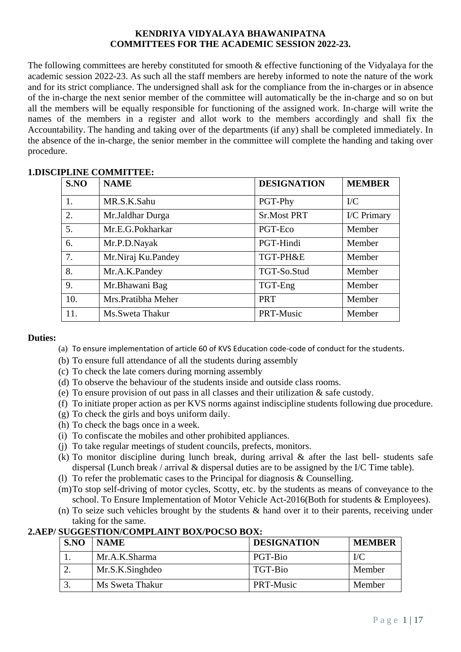#### **KENDRIYA VIDYALAYA BHAWANIPATNA COMMITTEES FOR THE ACADEMIC SESSION 2022-23.**

The following committees are hereby constituted for smooth & effective functioning of the Vidyalaya for the academic session 2022-23. As such all the staff members are hereby informed to note the nature of the work and for its strict compliance. The undersigned shall ask for the compliance from the in-charges or in absence of the in-charge the next senior member of the committee will automatically be the in-charge and so on but all the members will be equally responsible for functioning of the assigned work. In-charge will write the names of the members in a register and allot work to the members accordingly and shall fix the Accountability. The handing and taking over of the departments (if any) shall be completed immediately. In the absence of the in-charge, the senior member in the committee will complete the handing and taking over procedure.

| S.NO | <b>NAME</b>         | <b>DESIGNATION</b> | <b>MEMBER</b> |
|------|---------------------|--------------------|---------------|
| 1.   | MR.S.K.Sahu         | PGT-Phy            | $\rm{IC}$     |
| 2.   | Mr.Jaldhar Durga    | <b>Sr.Most PRT</b> | I/C Primary   |
| 5.   | Mr.E.G.Pokharkar    | PGT-Eco            | Member        |
| 6.   | Mr.P.D.Nayak        | PGT-Hindi          | Member        |
| 7.   | Mr.Niraj Ku.Pandey  | TGT-PH&E           | Member        |
| 8.   | Mr.A.K.Pandey       | TGT-So.Stud        | Member        |
| 9.   | Mr.Bhawani Bag      | TGT-Eng            | Member        |
| 10.  | Mrs. Pratibha Meher | <b>PRT</b>         | Member        |
| 11.  | Ms.Sweta Thakur     | PRT-Music          | Member        |

# **1.DISCIPLINE COMMITTEE:**

# **Duties:**

- (a) To ensure implementation of article 60 of KVS Education code-code of conduct for the students.
- (b) To ensure full attendance of all the students during assembly
- (c) To check the late comers during morning assembly
- (d) To observe the behaviour of the students inside and outside class rooms.
- (e) To ensure provision of out pass in all classes and their utilization & safe custody.
- (f) To initiate proper action as per KVS norms against indiscipline students following due procedure.
- (g) To check the girls and boys uniform daily.
- (h) To check the bags once in a week.
- (i) To confiscate the mobiles and other prohibited appliances.
- (j) To take regular meetings of student councils, prefects, monitors.
- (k) To monitor discipline during lunch break, during arrival & after the last bell- students safe dispersal (Lunch break / arrival & dispersal duties are to be assigned by the I/C Time table).
- (1) To refer the problematic cases to the Principal for diagnosis  $&$  Counselling.
- (m)To stop self-driving of motor cycles, Scotty, etc. by the students as means of conveyance to the school. To Ensure Implementation of Motor Vehicle Act-2016(Both for students & Employees).
- (n) To seize such vehicles brought by the students  $\&$  hand over it to their parents, receiving under taking for the same.

# **2.AEP/ SUGGESTION/COMPLAINT BOX/POCSO BOX:**

| S.NO | <b>NAME</b>     | <b>DESIGNATION</b> | <b>MEMBER</b> |
|------|-----------------|--------------------|---------------|
|      | Mr.A.K.Sharma   | PGT-Bio            | $\rm{IC}$     |
|      | Mr.S.K.Singhdeo | TGT-Bio            | Member        |
|      | Ms Sweta Thakur | <b>PRT-Music</b>   | Member        |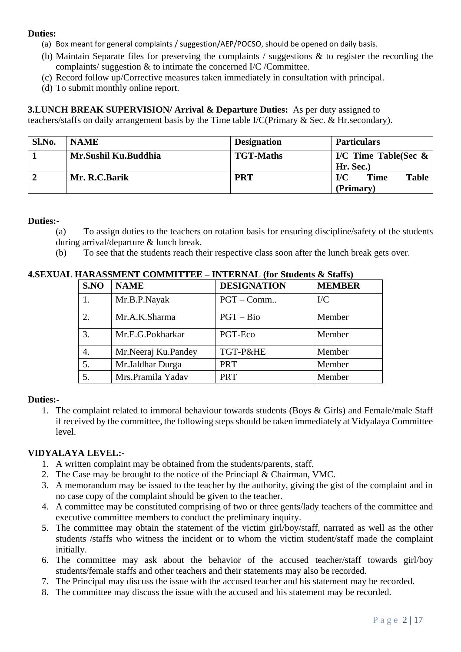- (a) Box meant for general complaints / suggestion/AEP/POCSO, should be opened on daily basis.
- (b) Maintain Separate files for preserving the complaints / suggestions & to register the recording the complaints/ suggestion & to intimate the concerned I/C /Committee.
- (c) Record follow up/Corrective measures taken immediately in consultation with principal.
- (d) To submit monthly online report.

**3.LUNCH BREAK SUPERVISION/ Arrival & Departure Duties:** As per duty assigned to

teachers/staffs on daily arrangement basis by the Time table I/C(Primary & Sec. & Hr.secondary).

| Sl.No. | <b>NAME</b>          | <b>Designation</b> | <b>Particulars</b>                 |  |
|--------|----------------------|--------------------|------------------------------------|--|
|        | Mr.Sushil Ku.Buddhia | <b>TGT-Maths</b>   | I/C Time Table(Sec $\&$            |  |
|        |                      |                    | Hr. Sec.                           |  |
|        | Mr. R.C.Barik        | <b>PRT</b>         | I/C<br><b>Time</b><br><b>Table</b> |  |
|        |                      |                    | (Primary)                          |  |

### **Duties:-**

- (a) To assign duties to the teachers on rotation basis for ensuring discipline/safety of the students
- during arrival/departure & lunch break.
- (b) To see that the students reach their respective class soon after the lunch break gets over.

|                  | L HARASSMENT COMMITTEE – INTERNAL (for Students & Staffs) |                    |               |
|------------------|-----------------------------------------------------------|--------------------|---------------|
| S.NO             | <b>NAME</b>                                               | <b>DESIGNATION</b> | <b>MEMBER</b> |
| 1.               | Mr.B.P.Nayak                                              | $PGT - Comm$       | $\rm{IC}$     |
| 2.               | Mr.A.K.Sharma                                             | $PGT - Bio$        | Member        |
| 3.               | Mr.E.G.Pokharkar                                          | PGT-Eco            | Member        |
| $\overline{4}$ . | Mr.Neeraj Ku.Pandey                                       | TGT-P&HE           | Member        |
| 5.               | Mr.Jaldhar Durga                                          | <b>PRT</b>         | Member        |
| 5.               | Mrs.Pramila Yadav                                         | <b>PRT</b>         | Member        |

### **4.SEXUAL**

# **Duties:-**

1. The complaint related to immoral behaviour towards students (Boys & Girls) and Female/male Staff if received by the committee, the following steps should be taken immediately at Vidyalaya Committee level.

# **VIDYALAYA LEVEL:-**

- 1. A written complaint may be obtained from the students/parents, staff.
- 2. The Case may be brought to the notice of the Princiapl & Chairman, VMC.
- 3. A memorandum may be issued to the teacher by the authority, giving the gist of the complaint and in no case copy of the complaint should be given to the teacher.
- 4. A committee may be constituted comprising of two or three gents/lady teachers of the committee and executive committee members to conduct the preliminary inquiry.
- 5. The committee may obtain the statement of the victim girl/boy/staff, narrated as well as the other students /staffs who witness the incident or to whom the victim student/staff made the complaint initially.
- 6. The committee may ask about the behavior of the accused teacher/staff towards girl/boy students/female staffs and other teachers and their statements may also be recorded.
- 7. The Principal may discuss the issue with the accused teacher and his statement may be recorded.
- 8. The committee may discuss the issue with the accused and his statement may be recorded.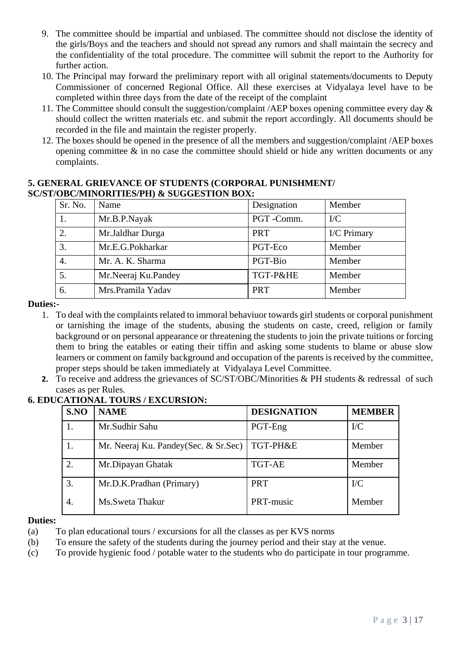- 9. The committee should be impartial and unbiased. The committee should not disclose the identity of the girls/Boys and the teachers and should not spread any rumors and shall maintain the secrecy and the confidentiality of the total procedure. The committee will submit the report to the Authority for further action.
- 10. The Principal may forward the preliminary report with all original statements/documents to Deputy Commissioner of concerned Regional Office. All these exercises at Vidyalaya level have to be completed within three days from the date of the receipt of the complaint
- 11. The Committee should consult the suggestion/complaint /AEP boxes opening committee every day & should collect the written materials etc. and submit the report accordingly. All documents should be recorded in the file and maintain the register properly.
- 12. The boxes should be opened in the presence of all the members and suggestion/complaint /AEP boxes opening committee  $\&$  in no case the committee should shield or hide any written documents or any complaints.

#### **5. GENERAL GRIEVANCE OF STUDENTS (CORPORAL PUNISHMENT/ SC/ST/OBC/MINORITIES/PH) & SUGGESTION BOX:**

| Sr. No. | Name                | Designation | Member      |
|---------|---------------------|-------------|-------------|
| 1.      | Mr.B.P.Nayak        | PGT-Comm.   | $\rm{IC}$   |
| 2.      | Mr.Jaldhar Durga    | <b>PRT</b>  | I/C Primary |
| 3.      | Mr.E.G.Pokharkar    | PGT-Eco     | Member      |
| 4.      | Mr. A. K. Sharma    | PGT-Bio     | Member      |
| 5.      | Mr.Neeraj Ku.Pandey | TGT-P&HE    | Member      |
| 6.      | Mrs.Pramila Yadav   | <b>PRT</b>  | Member      |

### **Duties:-**

- 1. To deal with the complaints related to immoral behaviuor towards girl students or corporal punishment or tarnishing the image of the students, abusing the students on caste, creed, religion or family background or on personal appearance or threatening the students to join the private tuitions or forcing them to bring the eatables or eating their tiffin and asking some students to blame or abuse slow learners or comment on family background and occupation of the parents is received by the committee, proper steps should be taken immediately at Vidyalaya Level Committee.
- **2.** To receive and address the grievances of SC/ST/OBC/Minorities & PH students & redressal of such cases as per Rules.

| S.NO             | <b>NAME</b>                           | <b>DESIGNATION</b> | <b>MEMBER</b> |
|------------------|---------------------------------------|--------------------|---------------|
|                  | Mr.Sudhir Sahu                        | PGT-Eng            | $\rm{IC}$     |
|                  | Mr. Neeraj Ku. Pandey(Sec. & Sr. Sec) | TGT-PH&E           | Member        |
| $\overline{2}$ . | Mr.Dipayan Ghatak                     | <b>TGT-AE</b>      | Member        |
| 3.               | Mr.D.K.Pradhan (Primary)              | <b>PRT</b>         | $\rm{IC}$     |
| 4.               | Ms. Sweta Thakur                      | PRT-music          | Member        |

# **6. EDUCATIONAL TOURS / EXCURSION:**

#### **Duties:**

- (a) To plan educational tours / excursions for all the classes as per KVS norms
- (b) To ensure the safety of the students during the journey period and their stay at the venue.
- (c) To provide hygienic food / potable water to the students who do participate in tour programme.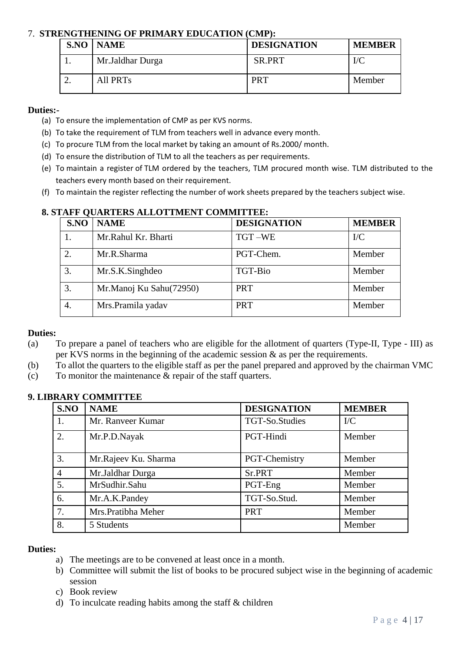### 7. **STRENGTHENING OF PRIMARY EDUCATION (CMP):**

| <b>S.NO   NAME</b> | <b>DESIGNATION</b> | <b>MEMBER</b> |
|--------------------|--------------------|---------------|
| Mr. Jaldhar Durga  | <b>SR.PRT</b>      | I/C           |
| <b>All PRTs</b>    | PRT                | Member        |

### **Duties:-**

- (a) To ensure the implementation of CMP as per KVS norms.
- (b) To take the requirement of TLM from teachers well in advance every month.
- (c) To procure TLM from the local market by taking an amount of Rs.2000/ month.
- (d) To ensure the distribution of TLM to all the teachers as per requirements.
- (e) To maintain a register of TLM ordered by the teachers, TLM procured month wise. TLM distributed to the teachers every month based on their requirement.
- (f) To maintain the register reflecting the number of work sheets prepared by the teachers subject wise.

| S.NO | <b>NAME</b>             | <b>DESIGNATION</b> | <b>MEMBER</b> |
|------|-------------------------|--------------------|---------------|
|      | Mr.Rahul Kr. Bharti     | TGT-WE             | $\rm{IC}$     |
| 2.   | Mr.R.Sharma             | PGT-Chem.          | Member        |
| 3.   | Mr.S.K.Singhdeo         | TGT-Bio            | Member        |
| 3.   | Mr.Manoj Ku Sahu(72950) | <b>PRT</b>         | Member        |
| 4.   | Mrs.Pramila yadav       | <b>PRT</b>         | Member        |

# **8. STAFF QUARTERS ALLOTTMENT COMMITTEE:**

#### **Duties:**

- (a) To prepare a panel of teachers who are eligible for the allotment of quarters (Type-II, Type III) as per KVS norms in the beginning of the academic session & as per the requirements.
- (b) To allot the quarters to the eligible staff as per the panel prepared and approved by the chairman VMC
- (c) To monitor the maintenance & repair of the staff quarters.

| S.NO           | <b>NAME</b>          | <b>DESIGNATION</b> | <b>MEMBER</b> |
|----------------|----------------------|--------------------|---------------|
| 1.             | Mr. Ranveer Kumar    | TGT-So.Studies     | $\rm{IC}$     |
| 2.             | Mr.P.D.Nayak         | PGT-Hindi          | Member        |
| 3.             | Mr.Rajeev Ku. Sharma | PGT-Chemistry      | Member        |
| $\overline{4}$ | Mr.Jaldhar Durga     | Sr.PRT             | Member        |
| 5.             | MrSudhir.Sahu        | PGT-Eng            | Member        |
| 6.             | Mr.A.K.Pandey        | TGT-So.Stud.       | Member        |
| 7.             | Mrs.Pratibha Meher   | <b>PRT</b>         | Member        |
| 8.             | 5 Students           |                    | Member        |

# **9. LIBRARY COMMITTEE**

#### **Duties:**

- a) The meetings are to be convened at least once in a month.
- b) Committee will submit the list of books to be procured subject wise in the beginning of academic session
- c) Book review
- d) To inculcate reading habits among the staff & children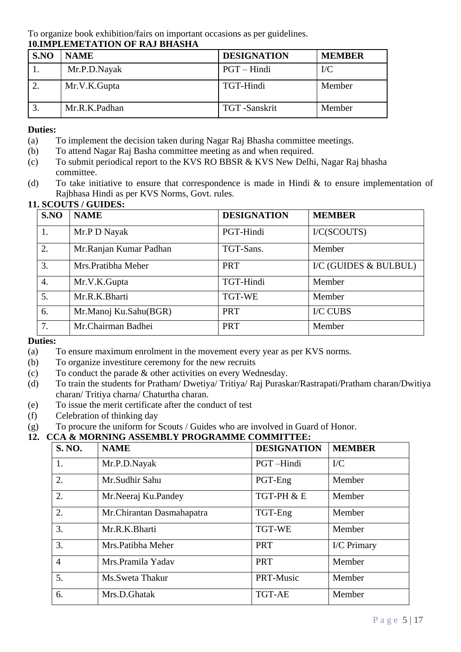To organize book exhibition/fairs on important occasions as per guidelines. **10.IMPLEMETATION OF RAJ BHASHA**

| S.NO | <b>NAME</b>   | <b>DESIGNATION</b> | <b>MEMBER</b> |
|------|---------------|--------------------|---------------|
|      | Mr.P.D.Nayak  | PGT – Hindi        | $\rm{IC}$     |
|      | Mr.V.K.Gupta  | TGT-Hindi          | Member        |
|      | Mr.R.K.Padhan | TGT -Sanskrit      | Member        |

# **Duties:**

- (a) To implement the decision taken during Nagar Raj Bhasha committee meetings.
- (b) To attend Nagar Raj Basha committee meeting as and when required.
- (c) To submit periodical report to the KVS RO BBSR & KVS New Delhi, Nagar Raj bhasha committee.
- (d) To take initiative to ensure that correspondence is made in Hindi  $\&$  to ensure implementation of Rajbhasa Hindi as per KVS Norms, Govt. rules.

# **11. SCOUTS / GUIDES:**

| S.NO             | <b>NAME</b>            | <b>DESIGNATION</b> | <b>MEMBER</b>         |
|------------------|------------------------|--------------------|-----------------------|
| 1.               | Mr.P D Nayak           | PGT-Hindi          | I/C(SCOUTS)           |
| 2.               | Mr.Ranjan Kumar Padhan | TGT-Sans.          | Member                |
| 3.               | Mrs.Pratibha Meher     | <b>PRT</b>         | I/C (GUIDES & BULBUL) |
| $\overline{4}$ . | Mr.V.K.Gupta           | TGT-Hindi          | Member                |
| 5.               | Mr.R.K.Bharti          | <b>TGT-WE</b>      | Member                |
| 6.               | Mr.Manoj Ku.Sahu(BGR)  | <b>PRT</b>         | <b>I/C CUBS</b>       |
| 7.               | Mr.Chairman Badhei     | <b>PRT</b>         | Member                |

# **Duties:**

- (a) To ensure maximum enrolment in the movement every year as per KVS norms.
- (b) To organize investiture ceremony for the new recruits
- (c) To conduct the parade & other activities on every Wednesday.
- (d) To train the students for Pratham/ Dwetiya/ Tritiya/ Raj Puraskar/Rastrapati/Pratham charan/Dwitiya charan/ Tritiya charna/ Chaturtha charan.
- (e) To issue the merit certificate after the conduct of test
- (f) Celebration of thinking day
- (g) To procure the uniform for Scouts / Guides who are involved in Guard of Honor.

# **12. CCA & MORNING ASSEMBLY PROGRAMME COMMITTEE:**

| <b>S. NO.</b>  | <b>NAME</b>                | <b>DESIGNATION</b> | <b>MEMBER</b> |
|----------------|----------------------------|--------------------|---------------|
| 1.             | Mr.P.D.Nayak               | PGT-Hindi          | $\rm{IC}$     |
| 2.             | Mr.Sudhir Sahu             | PGT-Eng            | Member        |
| 2.             | Mr.Neeraj Ku.Pandey        | TGT-PH & E         | Member        |
| 2.             | Mr. Chirantan Dasmahapatra | TGT-Eng            | Member        |
| 3.             | Mr.R.K.Bharti              | <b>TGT-WE</b>      | Member        |
| 3.             | Mrs.Patibha Meher          | <b>PRT</b>         | I/C Primary   |
| $\overline{4}$ | Mrs.Pramila Yadav          | <b>PRT</b>         | Member        |
| 5.             | Ms. Sweta Thakur           | PRT-Music          | Member        |
| 6.             | Mrs.D.Ghatak               | <b>TGT-AE</b>      | Member        |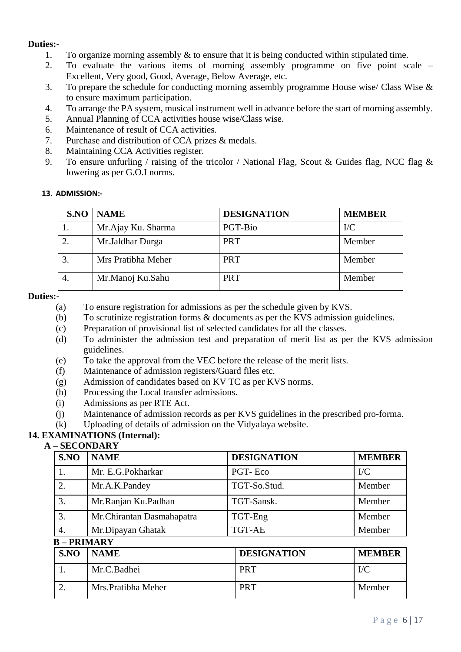- 1. To organize morning assembly & to ensure that it is being conducted within stipulated time.
- 2. To evaluate the various items of morning assembly programme on five point scale Excellent, Very good, Good, Average, Below Average, etc.
- 3. To prepare the schedule for conducting morning assembly programme House wise/ Class Wise & to ensure maximum participation.
- 4. To arrange the PA system, musical instrument well in advance before the start of morning assembly.
- 5. Annual Planning of CCA activities house wise/Class wise.
- 6. Maintenance of result of CCA activities.
- 7. Purchase and distribution of CCA prizes & medals.
- 8. Maintaining CCA Activities register.
- 9. To ensure unfurling / raising of the tricolor / National Flag, Scout & Guides flag, NCC flag  $\&$ lowering as per G.O.I norms.

### **13. ADMISSION:-**

| S.NO | <b>NAME</b>        | <b>DESIGNATION</b> | <b>MEMBER</b> |
|------|--------------------|--------------------|---------------|
|      | Mr.Ajay Ku. Sharma | PGT-Bio            | $\rm{IC}$     |
|      | Mr.Jaldhar Durga   | <b>PRT</b>         | Member        |
|      | Mrs Pratibha Meher | <b>PRT</b>         | Member        |
|      | Mr.Manoj Ku.Sahu   | <b>PRT</b>         | Member        |

#### **Duties:-**

- (a) To ensure registration for admissions as per the schedule given by KVS.
- (b) To scrutinize registration forms & documents as per the KVS admission guidelines.
- (c) Preparation of provisional list of selected candidates for all the classes.
- (d) To administer the admission test and preparation of merit list as per the KVS admission guidelines.
- (e) To take the approval from the VEC before the release of the merit lists.
- (f) Maintenance of admission registers/Guard files etc.
- (g) Admission of candidates based on KV TC as per KVS norms.
- (h) Processing the Local transfer admissions.
- (i) Admissions as per RTE Act.
- (j) Maintenance of admission records as per KVS guidelines in the prescribed pro-forma.
- (k) Uploading of details of admission on the Vidyalaya website.

# **14. EXAMINATIONS (Internal):**

# **A – SECONDARY**

| S.NO | <b>NAME</b>                | <b>DESIGNATION</b> | <b>MEMBER</b> |
|------|----------------------------|--------------------|---------------|
| 1.   | Mr. E.G.Pokharkar          | PGT-Eco            | $\rm{IC}$     |
| 2.   | Mr.A.K.Pandey              | TGT-So.Stud.       | Member        |
| 3.   | Mr.Ranjan Ku.Padhan        | TGT-Sansk.         | Member        |
| 3.   | Mr. Chirantan Dasmahapatra | TGT-Eng            | Member        |
| 4.   | Mr.Dipayan Ghatak          | TGT-AE             | Member        |
|      | <b>B-PRIMARY</b>           |                    |               |
| SNO  | <b>NAME</b>                | <b>DESIGNATION</b> | <b>MEMBER</b> |
| 1.   | Mr.C.Badhei                | <b>PRT</b>         | $\rm{IC}$     |
| 2.   | Mrs. Pratibha Meher        | <b>PRT</b>         | Member        |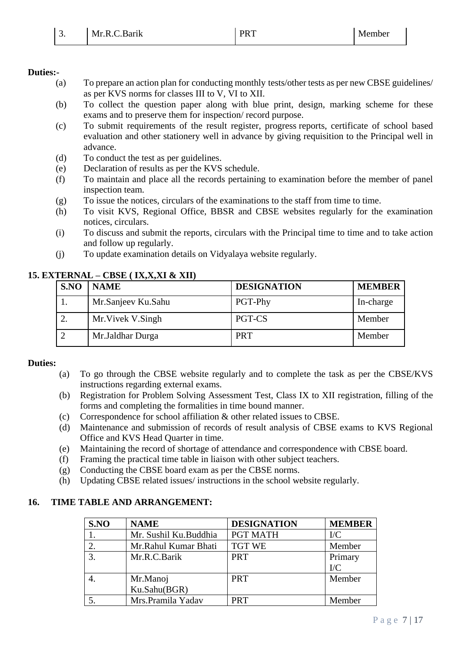- (a) To prepare an action plan for conducting monthly tests/other tests as per new CBSE guidelines/ as per KVS norms for classes III to V, VI to XII.
- (b) To collect the question paper along with blue print, design, marking scheme for these exams and to preserve them for inspection/ record purpose.
- (c) To submit requirements of the result register, progress reports, certificate of school based evaluation and other stationery well in advance by giving requisition to the Principal well in advance.
- (d) To conduct the test as per guidelines.
- (e) Declaration of results as per the KVS schedule.
- (f) To maintain and place all the records pertaining to examination before the member of panel inspection team.
- (g) To issue the notices, circulars of the examinations to the staff from time to time.
- (h) To visit KVS, Regional Office, BBSR and CBSE websites regularly for the examination notices, circulars.
- (i) To discuss and submit the reports, circulars with the Principal time to time and to take action and follow up regularly.
- (j) To update examination details on Vidyalaya website regularly.

# **15. EXTERNAL – CBSE ( IX,X,XI & XII)**

| S.NO | <b>NAME</b>        | <b>DESIGNATION</b> | <b>MEMBER</b> |
|------|--------------------|--------------------|---------------|
|      | Mr.Sanjeev Ku.Sahu | PGT-Phy            | In-charge     |
|      | Mr. Vivek V. Singh | PGT-CS             | Member        |
|      | Mr.Jaldhar Durga   | <b>PRT</b>         | Member        |

# **Duties:**

- (a) To go through the CBSE website regularly and to complete the task as per the CBSE/KVS instructions regarding external exams.
- (b) Registration for Problem Solving Assessment Test, Class IX to XII registration, filling of the forms and completing the formalities in time bound manner.
- (c) Correspondence for school affiliation & other related issues to CBSE.
- (d) Maintenance and submission of records of result analysis of CBSE exams to KVS Regional Office and KVS Head Quarter in time.
- (e) Maintaining the record of shortage of attendance and correspondence with CBSE board.
- (f) Framing the practical time table in liaison with other subject teachers.
- (g) Conducting the CBSE board exam as per the CBSE norms.
- (h) Updating CBSE related issues/ instructions in the school website regularly.

# **16. TIME TABLE AND ARRANGEMENT:**

| S.NO | <b>NAME</b>              | <b>DESIGNATION</b> | <b>MEMBER</b>        |
|------|--------------------------|--------------------|----------------------|
|      | Mr. Sushil Ku.Buddhia    | <b>PGT MATH</b>    | $\rm{IC}$            |
| 2.   | Mr.Rahul Kumar Bhati     | <b>TGT WE</b>      | Member               |
|      | Mr.R.C.Barik             | <b>PRT</b>         | Primary<br>$\rm{IC}$ |
|      | Mr.Manoj<br>Ku.Sahu(BGR) | <b>PRT</b>         | Member               |
|      | Mrs.Pramila Yadav        | <b>PRT</b>         | Member               |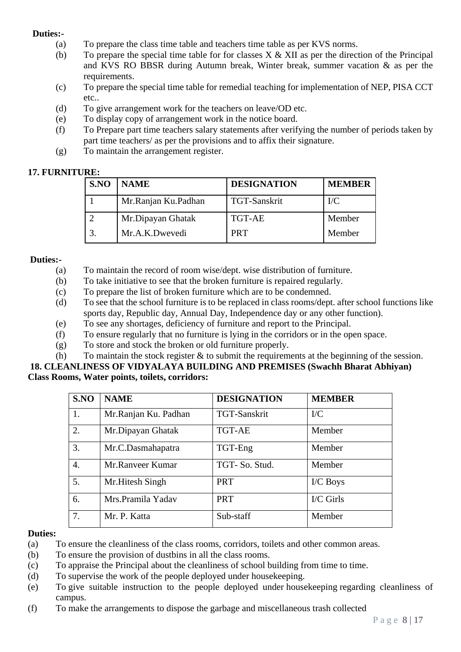- (a) To prepare the class time table and teachers time table as per KVS norms.
- (b) To prepare the special time table for for classes  $X \& XII$  as per the direction of the Principal and KVS RO BBSR during Autumn break, Winter break, summer vacation & as per the requirements.
- (c) To prepare the special time table for remedial teaching for implementation of NEP, PISA CCT etc..
- (d) To give arrangement work for the teachers on leave/OD etc.
- (e) To display copy of arrangement work in the notice board.
- (f) To Prepare part time teachers salary statements after verifying the number of periods taken by part time teachers/ as per the provisions and to affix their signature.
- (g) To maintain the arrangement register.

# **17. FURNITURE:**

| S.NO | <b>NAME</b>         | <b>DESIGNATION</b> | <b>MEMBER</b> |
|------|---------------------|--------------------|---------------|
|      | Mr.Ranjan Ku.Padhan | TGT-Sanskrit       | $\rm{IC}$     |
|      | Mr.Dipayan Ghatak   | <b>TGT-AE</b>      | Member        |
|      | Mr.A.K.Dwevedi      | <b>PRT</b>         | Member        |

# **Duties:-**

- (a) To maintain the record of room wise/dept. wise distribution of furniture.
- (b) To take initiative to see that the broken furniture is repaired regularly.
- (c) To prepare the list of broken furniture which are to be condemned.
- (d) To see that the school furniture is to be replaced in class rooms/dept. after school functions like sports day, Republic day, Annual Day, Independence day or any other function).
- (e) To see any shortages, deficiency of furniture and report to the Principal.
- (f) To ensure regularly that no furniture is lying in the corridors or in the open space.
- (g) To store and stock the broken or old furniture properly.
- (h) To maintain the stock register  $\&$  to submit the requirements at the beginning of the session.

#### **18. CLEANLINESS OF VIDYALAYA BUILDING AND PREMISES (Swachh Bharat Abhiyan) Class Rooms, Water points, toilets, corridors:**

| S.NO             | <b>NAME</b>          | <b>DESIGNATION</b> | <b>MEMBER</b> |
|------------------|----------------------|--------------------|---------------|
| 1.               | Mr.Ranjan Ku. Padhan | TGT-Sanskrit       | $\rm{IC}$     |
| 2.               | Mr.Dipayan Ghatak    | <b>TGT-AE</b>      | Member        |
| 3.               | Mr.C.Dasmahapatra    | TGT-Eng            | Member        |
| $\overline{4}$ . | Mr.Ranveer Kumar     | TGT-So. Stud.      | Member        |
| 5.               | Mr. Hitesh Singh     | <b>PRT</b>         | I/C Boys      |
| 6.               | Mrs.Pramila Yadav    | <b>PRT</b>         | I/C Girls     |
| 7.               | Mr. P. Katta         | Sub-staff          | Member        |

# **Duties:**

- (a) To ensure the cleanliness of the class rooms, corridors, toilets and other common areas.
- (b) To ensure the provision of dustbins in all the class rooms.
- (c) To appraise the Principal about the cleanliness of school building from time to time.
- (d) To supervise the work of the people deployed under housekeeping.
- (e) To give suitable instruction to the people deployed under housekeeping regarding cleanliness of campus.
- (f) To make the arrangements to dispose the garbage and miscellaneous trash collected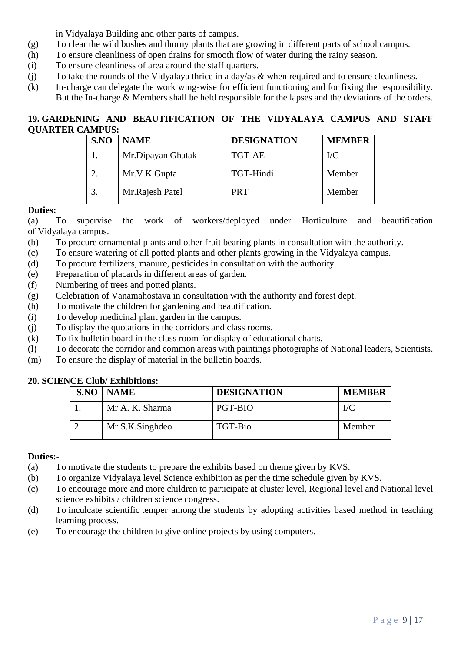in Vidyalaya Building and other parts of campus.

- (g) To clear the wild bushes and thorny plants that are growing in different parts of school campus.
- (h) To ensure cleanliness of open drains for smooth flow of water during the rainy season.
- (i) To ensure cleanliness of area around the staff quarters.
- (j) To take the rounds of the Vidyalaya thrice in a day/as & when required and to ensure cleanliness.
- (k) In-charge can delegate the work wing-wise for efficient functioning and for fixing the responsibility. But the In-charge & Members shall be held responsible for the lapses and the deviations of the orders.

# **19. GARDENING AND BEAUTIFICATION OF THE VIDYALAYA CAMPUS AND STAFF QUARTER CAMPUS:**

| S.NO | <b>NAME</b>       | <b>DESIGNATION</b> | <b>MEMBER</b> |
|------|-------------------|--------------------|---------------|
|      | Mr.Dipayan Ghatak | <b>TGT-AE</b>      | $\rm{IC}$     |
|      | Mr.V.K.Gupta      | TGT-Hindi          | Member        |
|      | Mr.Rajesh Patel   | <b>PRT</b>         | Member        |

### **Duties:**

(a) To supervise the work of workers/deployed under Horticulture and beautification of Vidyalaya campus.

- (b) To procure ornamental plants and other fruit bearing plants in consultation with the authority.
- (c) To ensure watering of all potted plants and other plants growing in the Vidyalaya campus.
- (d) To procure fertilizers, manure, pesticides in consultation with the authority.
- (e) Preparation of placards in different areas of garden.
- (f) Numbering of trees and potted plants.
- (g) Celebration of Vanamahostava in consultation with the authority and forest dept.
- (h) To motivate the children for gardening and beautification.
- (i) To develop medicinal plant garden in the campus.
- (j) To display the quotations in the corridors and class rooms.
- (k) To fix bulletin board in the class room for display of educational charts.
- (l) To decorate the corridor and common areas with paintings photographs of National leaders, Scientists.
- (m) To ensure the display of material in the bulletin boards.

# **20. SCIENCE Club/ Exhibitions:**

|  | <b>S.NO   NAME</b> | <b>DESIGNATION</b> | <b>MEMBER</b> |
|--|--------------------|--------------------|---------------|
|  | Mr A. K. Sharma    | PGT-BIO            | I/C           |
|  | Mr.S.K.Singhdeo    | TGT-Bio            | Member        |

#### **Duties:-**

- (a) To motivate the students to prepare the exhibits based on theme given by KVS.
- (b) To organize Vidyalaya level Science exhibition as per the time schedule given by KVS.
- (c) To encourage more and more children to participate at cluster level, Regional level and National level science exhibits / children science congress.
- (d) To inculcate scientific temper among the students by adopting activities based method in teaching learning process.
- (e) To encourage the children to give online projects by using computers.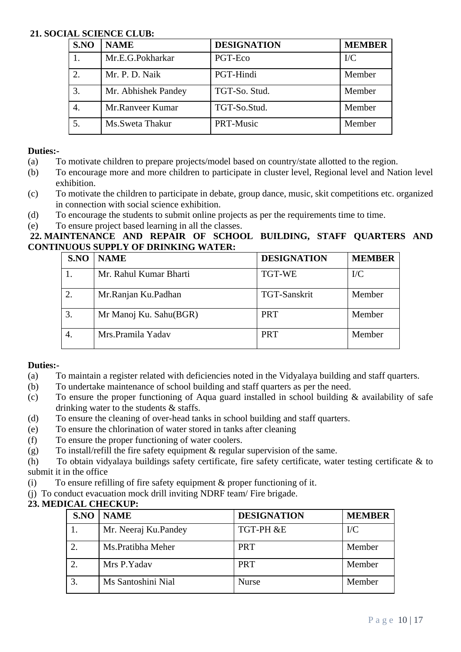### **21. SOCIAL SCIENCE CLUB:**

| S.NO           | <b>NAME</b>         | <b>DESIGNATION</b> | <b>MEMBER</b> |
|----------------|---------------------|--------------------|---------------|
|                | Mr.E.G.Pokharkar    | PGT-Eco            | $\rm{IC}$     |
| $\overline{2}$ | Mr. P. D. Naik      | PGT-Hindi          | Member        |
|                | Mr. Abhishek Pandey | TGT-So. Stud.      | Member        |
| 4.             | Mr.Ranveer Kumar    | TGT-So.Stud.       | Member        |
|                | Ms.Sweta Thakur     | PRT-Music          | Member        |

### **Duties:-**

- (a) To motivate children to prepare projects/model based on country/state allotted to the region.
- (b) To encourage more and more children to participate in cluster level, Regional level and Nation level exhibition.
- (c) To motivate the children to participate in debate, group dance, music, skit competitions etc. organized in connection with social science exhibition.
- (d) To encourage the students to submit online projects as per the requirements time to time.
- (e) To ensure project based learning in all the classes.

# **22. MAINTENANCE AND REPAIR OF SCHOOL BUILDING, STAFF QUARTERS AND CONTINUOUS SUPPLY OF DRINKING WATER:**

| S.NO | <b>NAME</b>            | <b>DESIGNATION</b>  | <b>MEMBER</b> |
|------|------------------------|---------------------|---------------|
|      | Mr. Rahul Kumar Bharti | <b>TGT-WE</b>       | $\rm{IC}$     |
|      | Mr.Ranjan Ku.Padhan    | <b>TGT-Sanskrit</b> | Member        |
|      | Mr Manoj Ku. Sahu(BGR) | <b>PRT</b>          | Member        |
|      | Mrs.Pramila Yadav      | <b>PRT</b>          | Member        |

# **Duties:-**

- (a) To maintain a register related with deficiencies noted in the Vidyalaya building and staff quarters.
- (b) To undertake maintenance of school building and staff quarters as per the need.
- (c) To ensure the proper functioning of Aqua guard installed in school building & availability of safe drinking water to the students & staffs.
- (d) To ensure the cleaning of over-head tanks in school building and staff quarters.
- (e) To ensure the chlorination of water stored in tanks after cleaning
- (f) To ensure the proper functioning of water coolers.
- (g) To install/refill the fire safety equipment & regular supervision of the same.

(h) To obtain vidyalaya buildings safety certificate, fire safety certificate, water testing certificate & to submit it in the office

- (i) To ensure refilling of fire safety equipment  $\&$  proper functioning of it.
- (j) To conduct evacuation mock drill inviting NDRF team/ Fire brigade.

# **23. MEDICAL CHECKUP:**

| S.NO | <b>NAME</b>          | <b>DESIGNATION</b> | <b>MEMBER</b> |
|------|----------------------|--------------------|---------------|
|      | Mr. Neeraj Ku.Pandey | TGT-PH &E          | $\rm{IC}$     |
|      | Ms. Pratibha Meher   | <b>PRT</b>         | Member        |
|      | Mrs P.Yadav          | <b>PRT</b>         | Member        |
|      | Ms Santoshini Nial   | <b>Nurse</b>       | Member        |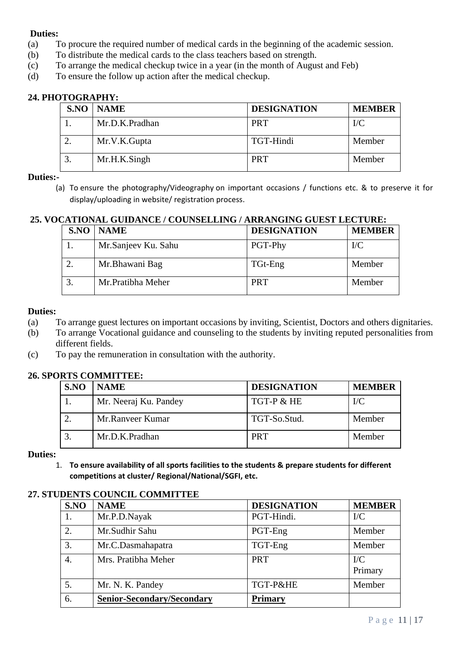- (a) To procure the required number of medical cards in the beginning of the academic session.
- (b) To distribute the medical cards to the class teachers based on strength.
- (c) To arrange the medical checkup twice in a year (in the month of August and Feb)
- (d) To ensure the follow up action after the medical checkup.

### **24. PHOTOGRAPHY:**

| SNO | NAME           | <b>DESIGNATION</b> | <b>MEMBER</b> |
|-----|----------------|--------------------|---------------|
|     | Mr.D.K.Pradhan | <b>PRT</b>         | $\rm{IC}$     |
|     | Mr.V.K.Gupta   | TGT-Hindi          | Member        |
|     | Mr.H.K.Singh   | <b>PRT</b>         | Member        |

#### **Duties:-**

(a) To ensure the photography/Videography on important occasions / functions etc. & to preserve it for display/uploading in website/ registration process.

# **25. VOCATIONAL GUIDANCE / COUNSELLING / ARRANGING GUEST LECTURE:**

| S.NO | <b>NAME</b>         | <b>DESIGNATION</b> | <b>MEMBER</b> |
|------|---------------------|--------------------|---------------|
|      | Mr.Sanjeev Ku. Sahu | PGT-Phy            | $\rm{IC}$     |
|      | Mr. Bhawani Bag     | TGt-Eng            | Member        |
|      | Mr. Pratibha Meher  | <b>PRT</b>         | Member        |

#### **Duties:**

- (a) To arrange guest lectures on important occasions by inviting, Scientist, Doctors and others dignitaries.
- (b) To arrange Vocational guidance and counseling to the students by inviting reputed personalities from different fields.
- (c) To pay the remuneration in consultation with the authority.

#### **26. SPORTS COMMITTEE:**

| S.NO | <b>NAME</b>           | <b>DESIGNATION</b> | <b>MEMBER</b> |
|------|-----------------------|--------------------|---------------|
|      | Mr. Neeraj Ku. Pandey | TGT-P & HE         | $\rm{IC}$     |
|      | Mr.Ranveer Kumar      | TGT-So.Stud.       | Member        |
|      | Mr.D.K.Pradhan        | <b>PRT</b>         | Member        |

#### **Duties:**

1. **To ensure availability of all sports facilities to the students & prepare students for different competitions at cluster/ Regional/National/SGFI, etc.**

#### **27. STUDENTS COUNCIL COMMITTEE**

| S.NO | <b>NAME</b>                       | <b>DESIGNATION</b> | <b>MEMBER</b>        |
|------|-----------------------------------|--------------------|----------------------|
|      | Mr.P.D.Nayak                      | PGT-Hindi.         | $\rm{IC}$            |
| 2.   | Mr.Sudhir Sahu                    | PGT-Eng            | Member               |
| 3.   | Mr.C.Dasmahapatra                 | TGT-Eng            | Member               |
| 4.   | Mrs. Pratibha Meher               | <b>PRT</b>         | $\rm{IC}$<br>Primary |
| 5.   | Mr. N. K. Pandey                  | TGT-P&HE           | Member               |
| 6.   | <b>Senior-Secondary/Secondary</b> | <b>Primary</b>     |                      |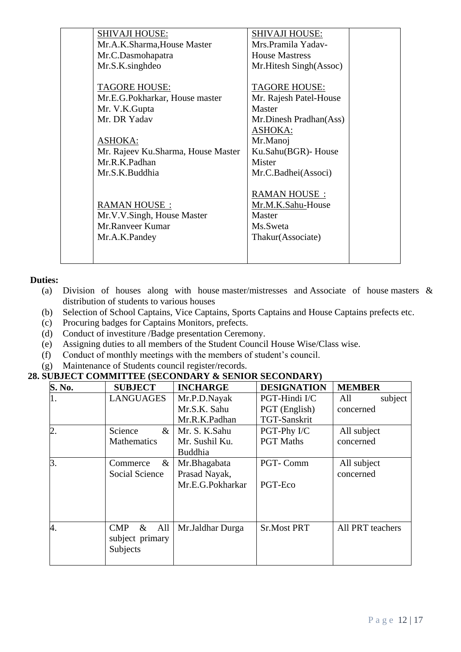| <b>SHIVAJI HOUSE:</b>              | SHIVAJI HOUSE:           |  |
|------------------------------------|--------------------------|--|
| Mr.A.K.Sharma, House Master        | Mrs. Pramila Yadav-      |  |
| Mr.C.Dasmohapatra                  | <b>House Mastress</b>    |  |
| Mr.S.K.singhdeo                    | Mr. Hitesh Singh (Assoc) |  |
|                                    |                          |  |
| <b>TAGORE HOUSE:</b>               | <b>TAGORE HOUSE:</b>     |  |
| Mr.E.G.Pokharkar, House master     | Mr. Rajesh Patel-House   |  |
| Mr. V.K. Gupta                     | Master                   |  |
| Mr. DR Yadav                       | Mr.Dinesh Pradhan(Ass)   |  |
|                                    | <b>ASHOKA:</b>           |  |
| <b>ASHOKA:</b>                     | Mr.Manoj                 |  |
| Mr. Rajeev Ku.Sharma, House Master | Ku.Sahu(BGR)- House      |  |
| Mr.R.K.Padhan                      | Mister                   |  |
| Mr.S.K.Buddhia                     | Mr.C.Badhei(Associ)      |  |
|                                    |                          |  |
|                                    | RAMAN HOUSE:             |  |
| <b>RAMAN HOUSE:</b>                | Mr.M.K.Sahu-House        |  |
| Mr.V.V.Singh, House Master         | Master                   |  |
| Mr.Ranveer Kumar                   | Ms.Sweta                 |  |
| Mr.A.K.Pandey                      | Thakur(Associate)        |  |
|                                    |                          |  |
|                                    |                          |  |
|                                    |                          |  |

- (a) Division of houses along with house master/mistresses and Associate of house masters & distribution of students to various houses
- (b) Selection of School Captains, Vice Captains, Sports Captains and House Captains prefects etc.
- (c) Procuring badges for Captains Monitors, prefects.
- (d) Conduct of investiture /Badge presentation Ceremony.
- (e) Assigning duties to all members of the Student Council House Wise/Class wise.
- (f) Conduct of monthly meetings with the members of student's council.
- (g) Maintenance of Students council register/records.

# **28. SUBJECT COMMITTEE (SECONDARY & SENIOR SECONDARY)**

| S. No. | <b>SUBJECT</b>                                    | <b>INCHARGE</b>                                   | <b>DESIGNATION</b>         | <b>MEMBER</b>            |
|--------|---------------------------------------------------|---------------------------------------------------|----------------------------|--------------------------|
| 1.     | <b>LANGUAGES</b>                                  | Mr.P.D.Nayak                                      | PGT-Hindi I/C              | subject<br>All           |
|        |                                                   | Mr.S.K. Sahu                                      | PGT (English)              | concerned                |
|        |                                                   | Mr.R.K.Padhan                                     | TGT-Sanskrit               |                          |
| 2.     | Science<br>$\&$                                   | Mr. S. K.Sahu                                     | PGT-Phy I/C                | All subject              |
|        | <b>Mathematics</b>                                | Mr. Sushil Ku.<br><b>Buddhia</b>                  | <b>PGT</b> Maths           | concerned                |
| 3.     | $\&$<br>Commerce<br>Social Science                | Mr.Bhagabata<br>Prasad Nayak,<br>Mr.E.G.Pokharkar | <b>PGT-Comm</b><br>PGT-Eco | All subject<br>concerned |
| 4.     | CMP<br>All<br>$\&$<br>subject primary<br>Subjects | Mr.Jaldhar Durga                                  | <b>Sr.Most PRT</b>         | All PRT teachers         |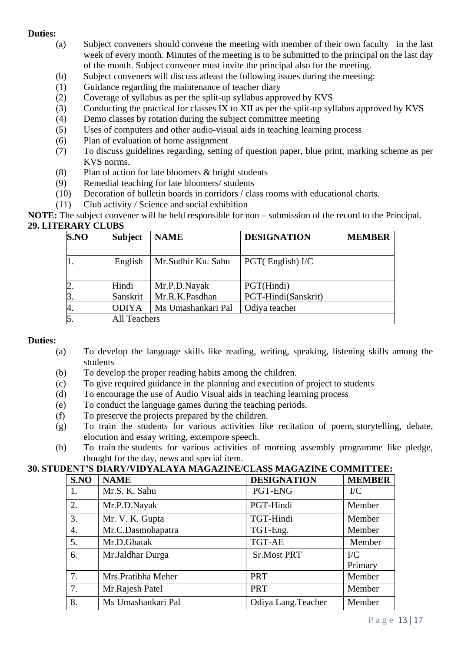- (a) Subject conveners should convene the meeting with member of their own faculty in the last week of every month. Minutes of the meeting is to be submitted to the principal on the last day of the month. Subject convener must invite the principal also for the meeting.
- (b) Subject conveners will discuss atleast the following issues during the meeting:
- (1) Guidance regarding the maintenance of teacher diary
- (2) Coverage of syllabus as per the split-up syllabus approved by KVS
- (3) Conducting the practical for classes IX to XII as per the split-up syllabus approved by KVS
- (4) Demo classes by rotation during the subject committee meeting
- (5) Uses of computers and other audio-visual aids in teaching learning process
- (6) Plan of evaluation of home assignment
- (7) To discuss guidelines regarding, setting of question paper, blue print, marking scheme as per KVS norms.
- (8) Plan of action for late bloomers & bright students
- (9) Remedial teaching for late bloomers/ students
- (10) Decoration of bulletin boards in corridors / class rooms with educational charts.
- (11) Club activity / Science and social exhibition

**NOTE:** The subject convener will be held responsible for non – submission of the record to the Principal. **29. LITERARY CLUBS** 

| S.NO | <b>Subject</b>      | <b>NAME</b>        | <b>DESIGNATION</b>  | <b>MEMBER</b> |
|------|---------------------|--------------------|---------------------|---------------|
|      | English             | Mr.Sudhir Ku. Sahu | $PGT$ (English) I/C |               |
|      | Hindi               | Mr.P.D.Nayak       | PGT(Hindi)          |               |
|      | Sanskrit            | Mr.R.K.Pasdhan     | PGT-Hindi(Sanskrit) |               |
| 4.   | <b>ODIYA</b>        | Ms Umashankari Pal | Odiya teacher       |               |
|      | <b>All Teachers</b> |                    |                     |               |

# **Duties:**

- (a) To develop the language skills like reading, writing, speaking, listening skills among the students
- (b) To develop the proper reading habits among the children.
- (c) To give required guidance in the planning and execution of project to students
- (d) To encourage the use of Audio Visual aids in teaching learning process
- (e) To conduct the language games during the teaching periods.
- (f) To preserve the projects prepared by the children.
- (g) To train the students for various activities like recitation of poem, storytelling, debate, elocution and essay writing, extempore speech.
- (h) To train the students for various activities of morning assembly programme like pledge, thought for the day, news and special item.

# **30. STUDENT'S DIARY/VIDYALAYA MAGAZINE/CLASS MAGAZINE COMMITTEE:**

| S.NO             | <b>NAME</b>         | <b>DESIGNATION</b>  | <b>MEMBER</b>           |
|------------------|---------------------|---------------------|-------------------------|
| 1.               | Mr.S. K. Sahu       | PGT-ENG             | $\rm{IC}$               |
| 2.               | Mr.P.D.Nayak        | PGT-Hindi           | Member                  |
| 3.               | Mr. V. K. Gupta     | TGT-Hindi           | Member                  |
| $\overline{4}$ . | Mr.C.Dasmohapatra   | TGT-Eng.            | Member                  |
| 5.               | Mr.D.Ghatak         | <b>TGT-AE</b>       | Member                  |
| 6.               | Mr.Jaldhar Durga    | <b>Sr.Most PRT</b>  | $\mathbf{I}/\mathbf{C}$ |
|                  |                     |                     | Primary                 |
| 7.               | Mrs. Pratibha Meher | <b>PRT</b>          | Member                  |
| 7.               | Mr.Rajesh Patel     | <b>PRT</b>          | Member                  |
| 8.               | Ms Umashankari Pal  | Odiya Lang. Teacher | Member                  |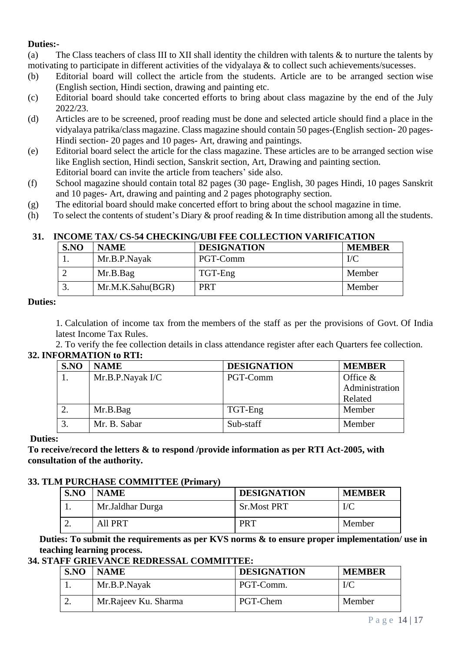(a) The Class teachers of class III to XII shall identity the children with talents & to nurture the talents by motivating to participate in different activities of the vidyalaya & to collect such achievements/sucesses.

- (b) Editorial board will collect the article from the students. Article are to be arranged section wise (English section, Hindi section, drawing and painting etc.
- (c) Editorial board should take concerted efforts to bring about class magazine by the end of the July 2022/23.
- (d) Articles are to be screened, proof reading must be done and selected article should find a place in the vidyalaya patrika/class magazine. Class magazine should contain 50 pages-(English section- 20 pages-Hindi section- 20 pages and 10 pages- Art, drawing and paintings.
- (e) Editorial board select the article for the class magazine. These articles are to be arranged section wise like English section, Hindi section, Sanskrit section, Art, Drawing and painting section. Editorial board can invite the article from teachers' side also.
- (f) School magazine should contain total 82 pages (30 page- English, 30 pages Hindi, 10 pages Sanskrit and 10 pages- Art, drawing and painting and 2 pages photography section.
- (g) The editorial board should make concerted effort to bring about the school magazine in time.
- (h) To select the contents of student's Diary & proof reading & In time distribution among all the students.

# **31. INCOME TAX/ CS-54 CHECKING/UBI FEE COLLECTION VARIFICATION**

| S.NO | <b>NAME</b>      | <b>DESIGNATION</b> | <b>MEMBER</b> |
|------|------------------|--------------------|---------------|
|      | Mr.B.P.Nayak     | PGT-Comm           | $\rm{I}/C$    |
|      | Mr.B.Bag         | TGT-Eng            | Member        |
|      | Mr.M.K.Sahu(BGR) | PRT                | Member        |

#### **Duties:**

1. Calculation of income tax from the members of the staff as per the provisions of Govt. Of India latest Income Tax Rules.

2. To verify the fee collection details in class attendance register after each Quarters fee collection. **32. INFORMATION to RTI:**

| S.NO | <b>NAME</b>      | <b>DESIGNATION</b> | <b>MEMBER</b>  |
|------|------------------|--------------------|----------------|
|      | Mr.B.P.Nayak I/C | PGT-Comm           | Office $\&$    |
|      |                  |                    | Administration |
|      |                  |                    | Related        |
|      | Mr.B.Bag         | TGT-Eng            | Member         |
|      | Mr. B. Sabar     | Sub-staff          | Member         |

### **Duties:**

**To receive/record the letters & to respond /provide information as per RTI Act-2005, with consultation of the authority.**

#### **33. TLM PURCHASE COMMITTEE (Primary)**

| S.NO | <b>NAME</b>      | <b>DESIGNATION</b> | <b>MEMBER</b> |
|------|------------------|--------------------|---------------|
|      | Mr.Jaldhar Durga | <b>Sr.Most PRT</b> | $\rm I/C$     |
| ـ.   | All PRT          | <b>PRT</b>         | Member        |

**Duties: To submit the requirements as per KVS norms & to ensure proper implementation/ use in teaching learning process.**

### **34. STAFF GRIEVANCE REDRESSAL COMMITTEE:**

| SNO | <b>NAME</b>          | <b>DESIGNATION</b> | <b>MEMBER</b> |
|-----|----------------------|--------------------|---------------|
|     | Mr.B.P.Nayak         | PGT-Comm.          | I/C           |
|     | Mr.Rajeev Ku. Sharma | PGT-Chem           | Member        |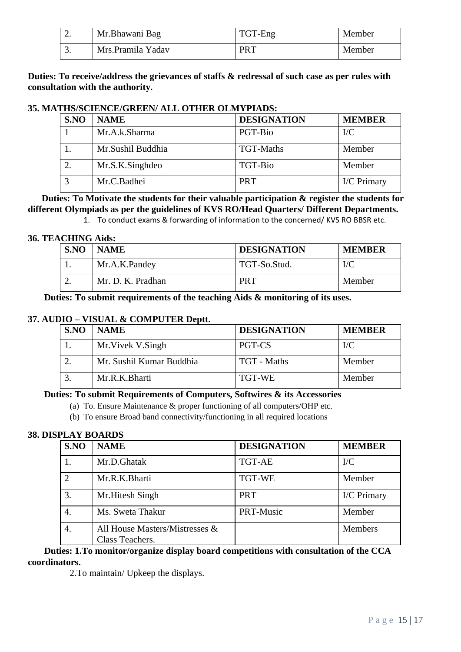| ٠.  | Mr.Bhawani Bag     | TGT-Eng | Member |
|-----|--------------------|---------|--------|
| ، ب | Mrs. Pramila Yadav | PRT     | Member |

# **Duties: To receive/address the grievances of staffs & redressal of such case as per rules with consultation with the authority.**

# **35. MATHS/SCIENCE/GREEN/ ALL OTHER OLMYPIADS:**

| S.NO | <b>NAME</b>       | <b>DESIGNATION</b> | <b>MEMBER</b> |
|------|-------------------|--------------------|---------------|
|      | Mr.A.k.Sharma     | PGT-Bio            | $\rm{IC}$     |
|      | Mr.Sushil Buddhia | <b>TGT-Maths</b>   | Member        |
|      | Mr.S.K.Singhdeo   | TGT-Bio            | Member        |
|      | Mr.C.Badhei       | <b>PRT</b>         | I/C Primary   |

 **Duties: To Motivate the students for their valuable participation & register the students for different Olympiads as per the guidelines of KVS RO/Head Quarters/ Different Departments.**

1. To conduct exams & forwarding of information to the concerned/ KVS RO BBSR etc.

#### **36. TEACHING Aids:**

| S.NO | <b>NAME</b>       | <b>DESIGNATION</b> | <b>MEMBER</b> |
|------|-------------------|--------------------|---------------|
|      | Mr.A.K.Pandey     | TGT-So.Stud.       | $\rm{I}/C$    |
|      | Mr. D. K. Pradhan | <b>PRT</b>         | Member        |

**Duties: To submit requirements of the teaching Aids & monitoring of its uses.**

### **37. AUDIO – VISUAL & COMPUTER Deptt.**

| SNO | <b>NAME</b>              | <b>DESIGNATION</b> | <b>MEMBER</b> |
|-----|--------------------------|--------------------|---------------|
|     | Mr. Vivek V. Singh       | PGT-CS             | $\rm{IC}$     |
|     | Mr. Sushil Kumar Buddhia | TGT - Maths        | Member        |
|     | Mr.R.K.Bharti            | TGT-WE             | Member        |

#### **Duties: To submit Requirements of Computers, Softwires & its Accessories**

(a) To. Ensure Maintenance & proper functioning of all computers/OHP etc.

(b) To ensure Broad band connectivity/functioning in all required locations

#### **38. DISPLAY BOARDS**

| S.NO          | <b>NAME</b>                                       | <b>DESIGNATION</b> | <b>MEMBER</b> |
|---------------|---------------------------------------------------|--------------------|---------------|
|               | Mr.D.Ghatak                                       | <b>TGT-AE</b>      | $\rm{IC}$     |
| $\mathcal{D}$ | Mr.R.K.Bharti                                     | <b>TGT-WE</b>      | Member        |
| 3.            | Mr. Hitesh Singh                                  | <b>PRT</b>         | I/C Primary   |
|               | Ms. Sweta Thakur                                  | PRT-Music          | Member        |
|               | All House Masters/Mistresses &<br>Class Teachers. |                    | Members       |

 **Duties: 1.To monitor/organize display board competitions with consultation of the CCA coordinators.**

2.To maintain/ Upkeep the displays.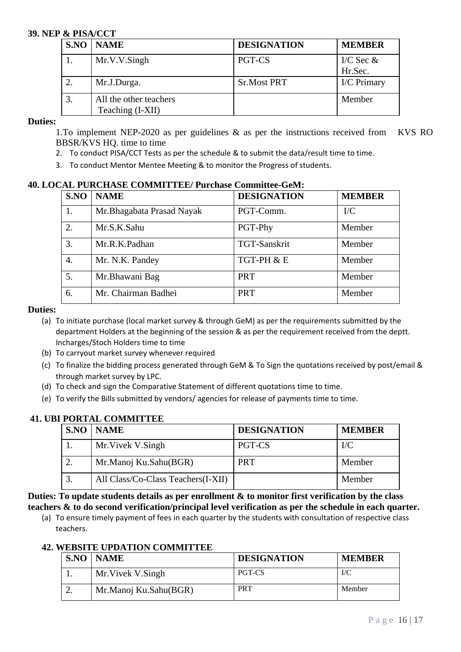#### **39. NEP & PISA/CCT**

| <b>S.NO   NAME</b>                         | <b>DESIGNATION</b> | <b>MEMBER</b>          |
|--------------------------------------------|--------------------|------------------------|
| Mr.V.V.Singh                               | PGT-CS             | I/C Sec $&$<br>Hr.Sec. |
| Mr.J.Durga.                                | <b>Sr.Most PRT</b> | I/C Primary            |
| All the other teachers<br>Teaching (I-XII) |                    | Member                 |

#### **Duties:**

1.To implement NEP-2020 as per guidelines & as per the instructions received from KVS RO BBSR/KVS HQ. time to time

- 2. To conduct PISA/CCT Tests as per the schedule & to submit the data/result time to time.
- 3. To conduct Mentor Mentee Meeting & to monitor the Progress of students.

#### **40. LOCAL PURCHASE COMMITTEE/ Purchase Committee-GeM:**

| S.NO | <b>NAME</b>                | <b>DESIGNATION</b> | <b>MEMBER</b> |
|------|----------------------------|--------------------|---------------|
| 1.   | Mr. Bhagabata Prasad Nayak | PGT-Comm.          | $\rm{IC}$     |
| 2.   | Mr.S.K.Sahu                | PGT-Phy            | Member        |
| 3.   | Mr.R.K.Padhan              | TGT-Sanskrit       | Member        |
| 4.   | Mr. N.K. Pandey            | TGT-PH & E         | Member        |
| 5.   | Mr.Bhawani Bag             | <b>PRT</b>         | Member        |
| 6.   | Mr. Chairman Badhei        | <b>PRT</b>         | Member        |

#### **Duties:**

- (a) To initiate purchase (local market survey & through GeM) as per the requirements submitted by the department Holders at the beginning of the session & as per the requirement received from the deptt. Incharges/Stoch Holders time to time
- (b) To carryout market survey whenever required
- (c) To finalize the bidding process generated through GeM & To Sign the quotations received by post/email & through market survey by LPC.
- (d) To check and sign the Comparative Statement of different quotations time to time.
- (e) To verify the Bills submitted by vendors/ agencies for release of payments time to time.

# **41. UBI PORTAL COMMITTEE**

|    | <b>S.NO   NAME</b>                 | <b>DESIGNATION</b> | <b>MEMBER</b> |
|----|------------------------------------|--------------------|---------------|
|    | Mr. Vivek V. Singh                 | PGT-CS             | I/C           |
|    | Mr.Manoj Ku.Sahu(BGR)              | <b>PRT</b>         | Member        |
| 3. | All Class/Co-Class Teachers(I-XII) |                    | Member        |

**Duties: To update students details as per enrollment & to monitor first verification by the class teachers & to do second verification/principal level verification as per the schedule in each quarter.**

(a) To ensure timely payment of fees in each quarter by the students with consultation of respective class teachers.

# **42. WEBSITE UPDATION COMMITTEE**

| SNO | <b>NAME</b>           | <b>DESIGNATION</b> | <b>MEMBER</b> |
|-----|-----------------------|--------------------|---------------|
|     | Mr. Vivek V. Singh    | PGT-CS             | $_{\rm{IC}}$  |
| ـ ـ | Mr.Manoj Ku.Sahu(BGR) | <b>PRT</b>         | Member        |